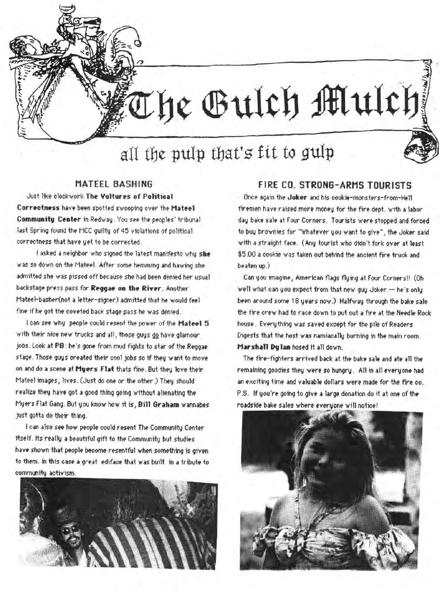The Gulch Mulch

## MATEEL **BASHING**

.... ....

**Just like clockwork The Vultures of Political Correctness** have been spotted swooping over the Mateel **Communitv Center** in Redway . You see the peoples' tribunal last Spring found the MCC guilty of 45 violations of political correctness that have yet to be corrected.

I asked a neighbor who signed the latest manifesto why she was so down on the Mateel. After some hemming and hawing she admitted she was pissed off because she had been denied her *usual* backstage press pass for **Reggae on the River**. Another Mateel-basher(not a letter-signer) admitted that he would feel fine if he got the coveted back stage pass he was denied.

I can see why people could resent the power of the Mateel 5 with their nice new trucks and all, those guys do have glamour jobs. Look at PB ; he's gone from mud fights to star of the Reggae stage. Those guys created their cool jobs so if they want to move on and do a scene at Myers Flat thats fine. But they love their Mateel images, lives. (Just do one or the other.) They should realize they have got a good thing going without alienating the Myers Flat Gang. But you know how it is, Bill Graham wannabes just gotta do their thing.

I c-m also *see* how people could *resent* The Community Center itself. Its really a beautiful gift to the Community but studies have shown that people become resentful when something is given to them. In this case a great ediface that was built in a tribute to community aotivism.



## FIRE CO. **STRONG-ARMS** TOURISTS

Once again the **Joker** and his cookie-monsters-from-Hell firemen have raised more money for the fire dept. with a labor day bake sale at Four Corners. Tourists were stopped and forced to buy brownies for "Whatever you want to give", the Joker said with a straight face. (Any tourist who didn't fork over at least \$5.00 a cookie was taken out behind the ancient fire truck and beaten up.)

Can you imagine, American flags flying at Four Corners!! (Oh well what can you expect from that new guy Joker -- he's only been around some 18 years now.) Halfway through the bake sale the *fire* crew had to race down to put out a fire at the Needle Rock house. Everything was saved except for the pile of Readers Digests that the host was namiacally burning in the main room. Marshall Dylan hosed it all down.

The fire-fighters arrived back at the bake sale and ate all the remaining goodies thev were *so* hungry. All in all everyone had an exciting time and valuable dollars were made for the fire co. P.S. If you're going to give a large donation do it at one of the roadside bake sales where everyone will notice!

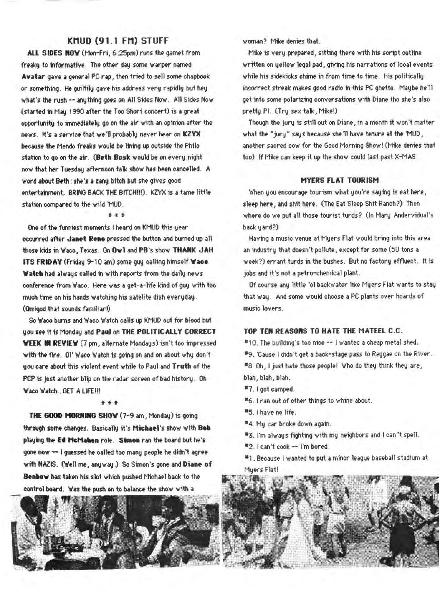## KMUD (91.1 FM) STUFF

All SIDES **NOY** (Mon-Fri, 6:25pm) runs the garnet from freaky to informative. The other day some warper named Avatar gave a general PC rap, then tried to sell some chapbook or something. He guiltily gave his address very rapidly but hey what's the rush -- anything goes on All Sides Now. All Sides Now (started in May 1990 after the Too Short concert) is a great opportunity to immediately go on the air with an opinion after the news. It's a service that we'll probably never hear on **KZYX** because the Mendo freaks would be lining up outside the Philo station to go on the air. (Beth Bosk would be on every night now that her Tuesday afternoon talk show has been cancelled. A word about Beth: she's a zany bitch but she gives good entertainment. BRING BACK THE BITCH!!!). KZYX is a tame little station compared to the wild 'MUD.

#### \*\*\*

One of the funniest moments I heard on KMUD this year occurred after Janet Reno pressed the button and burned up all those kids in 'waco, Texas. On **OYl** and PB's shov **THANK JAH ITS FRIDAY** (Friday 9-10 am) some guy calling himself Wace **Watch** had always called in with reports from the daily news conference from Waco. Here was a get-a-life kind of guy with too much time on his hands watching his satelite dish everyday. (Omigod that sounds familiar!)

So Waco burns and Waco Watch calls up KMUD out for blood but vou see it is Monday and **P~u1** on THE **POLITICALLY CORRECT WEEK IN REVIEW** (7 pm, alternate Mondays) isn't too impressed with the fire. OI' Waco Watch is going on and on about why don't you care about this violent event while to Paul and Truth of the PCP is just another blip on the radar screen of bad history. Oh Waco Watch...GET A LIFE!!!

#### $# # #$

**THE 6000 HORNING SHOV** (7-9 am, Monday) is going through some changes. Basically it's Michael's show with Bob playing the Ed McMahon role. Simon ran the board but he's gone now -- I guessed he called too many people he didn't agree with NAZIS. (Well me, anyway.) So Simon's gone and Diane of Beabow has taken his slot which pushed Michael back to the control board. Was the push on to balance the show with a



'Woman? Hice denies that.

Mike is very prepared, sitting there with his script outline written on yellov legal pad, giving his narrations of local events while his sidekicks chime in from time to time. His politically incorrect streak makes good radio in this PC ghetto. Maybe he'll get into *some* polarizing conversations with Diane tho she's also pretty Pl. (Try sex talk, Mike!)

Though the jury is still out on Diane, in a month it won't matter what the "jury" says because she'll have tenure at the 'MUD, another sacred cow for the Good Morning Show! (Mike denies that too) If Mike can keep it up the show could last past X-MAS.

## **HYERS FLAT TOURISM**

'vlhen you encourage tourism what you're saying is eat here, sleep here, and shit here. (The Eat Sleep Shit Ranch?) Then where do we put all those tourist turds? (In Mary Andervidual's back yard?)

Having a music venue at Myers Flat would bring into this area an industry that doesn't pollute, except for some (50 tons a **week?)** errant turds in the bushes. But no factory effluent. It is jobs and it's not a petro-chemical plant.

Of course any little 'ol backwater like Myers Flat wants to stay that way. And some would choose a PC plants over hoards of music lovers.

## **TOP TEN REASONS TO HATE THE MATEEL C.C.**

#10. The building's too nice -- I wanted a cheap metal shed.

- #9. 'Cause I didn't get a back-stage pass to Reggae on the River.
- #8. Oh, I just hate those people! Who do they think they are,
- blah, blah, blah.
- *•1.* I got camped.
- •6. I ran out of other things to whine about.
- \*5. I have no life.
- •4. My car broke down again.
- #3. I'm always fighting with my neighbors and I can"t spell.
- •2. I can't cook -- I'm bored.
- \*1. Because I wanted to put a minor league baseball stadium at Myers Flat!

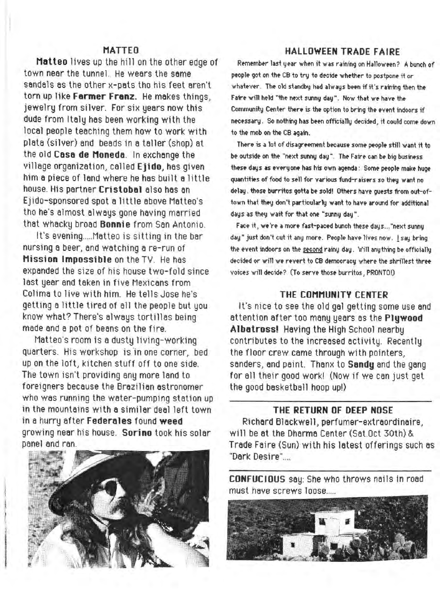# **MATTEO**

Matteo lives up the hill on the other edge of town near the tunnel. He wears the same sendals as the other x-pats tho his feet aren't torn up like **Farmer Franz**. He makes things, jewelry from silver. For six years now this dude from Italy hes been working with the local people teaching them how to work with plata (silver) and beads in a taller (shop) at the old **Casa de Monedo.** In exchange the village organization, celled **Ejido,** has given him a piece of lend where he has built a little house. His partner **Cristobol** also has an Ejido-sponsored spot a little above Matteo's tho he's almost always gone having married that whacky broad **Bonnie** from San Antonio.

It's evening ..... Matteo is sitting in the bar nursing a beer, and watching a re-run of **Mission Impossible** on the TV. He has expanded the size of his house two-fold since last year and taken in five Mexicans from Colima to live with him. He tells Jose he's getting a little tired of all the people but you know what? There's always tortillas being made and a pot of beans on the fire.

Matteo's room is a dusty living-working quarters. His workshop is in one corner, bed up on the loft, kitchen stuff off to one side. The town isn·t providing any more land to foreigners because the Brazilian astronomer who was running the water-pumping station up in the mountains with a similar deal left town in a hurry after **Federeles** found **weed**  growing near his house. **Sorino** took his solar panel and ran.



## **HALLOWEEN TRADE FAIRE**

Remember last year when it was raining on Halloween? A bunch of people got on the CB to try to decide whether to postpone it or whatever. The old standby had always been if it's raining then the Faire will held "the next sunny day". Now that we have the Community Center there is the option to bring the event indoors if necessary. So nothing has been officially decided, it could come down to the mob on the CB again.

There is a lot of disagreement because some people still want it fo be outside on the "next sunny day". The Faire can be big business these days as everyone has his own agenda : Some people make huge quantities of food to sell for various fund-raisers so they want no delay. those burritos gotta be sold! Others have guests from out-oftown that they don't particularly want to have around for additional days as they wait for that one "sunny day".

Face it, we're a more fast-paced bunch these days ... "next sunny day" just don't cut it any more. People have lives now. I say bring the event indoors on the second rainy day. Will anything be officially decided or will we revert to CB democracy where the shrillest three  $voies$  will decide? (To serve those burritos, PRONTO!)

## **THE COMMUNITY CENTER**

It's nice to see the old gel getting some use and attention after too many years as the **Plywood Albatrossl** Having the High School nearby contributes to the increased activity. Recently the floor crew came through with pointers, senders, and paint. Thanx to **Sandy** end the gang for all their good work! (Now if we can just get the good basketball hoop up!)

## **THE RETURN OF DEEP NOSE**

Richard Blackwell, perfumer-extraordinaire, will be et the Dharme Center (Set.Oct 30th) & Trade Faire (Sun) with his latest offerings such as "Dark Desire"....

**CONFUCIOUS** say: She who throws nails in road must have screws loose.....